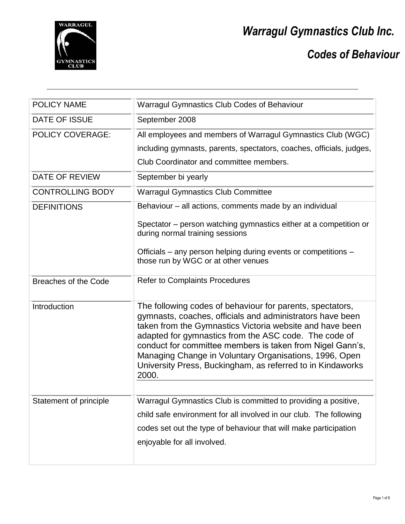

*Codes of Behaviour*

| <b>POLICY NAME</b>          | <b>Warragul Gymnastics Club Codes of Behaviour</b>                                                                                                                                                                                                                                                                                                                                                                                        |
|-----------------------------|-------------------------------------------------------------------------------------------------------------------------------------------------------------------------------------------------------------------------------------------------------------------------------------------------------------------------------------------------------------------------------------------------------------------------------------------|
| <b>DATE OF ISSUE</b>        | September 2008                                                                                                                                                                                                                                                                                                                                                                                                                            |
| <b>POLICY COVERAGE:</b>     | All employees and members of Warragul Gymnastics Club (WGC)                                                                                                                                                                                                                                                                                                                                                                               |
|                             | including gymnasts, parents, spectators, coaches, officials, judges,                                                                                                                                                                                                                                                                                                                                                                      |
|                             | Club Coordinator and committee members.                                                                                                                                                                                                                                                                                                                                                                                                   |
| <b>DATE OF REVIEW</b>       | September bi yearly                                                                                                                                                                                                                                                                                                                                                                                                                       |
| <b>CONTROLLING BODY</b>     | <b>Warragul Gymnastics Club Committee</b>                                                                                                                                                                                                                                                                                                                                                                                                 |
| <b>DEFINITIONS</b>          | Behaviour – all actions, comments made by an individual                                                                                                                                                                                                                                                                                                                                                                                   |
|                             | Spectator – person watching gymnastics either at a competition or<br>during normal training sessions                                                                                                                                                                                                                                                                                                                                      |
|                             | Officials – any person helping during events or competitions –<br>those run by WGC or at other venues                                                                                                                                                                                                                                                                                                                                     |
| <b>Breaches of the Code</b> | <b>Refer to Complaints Procedures</b>                                                                                                                                                                                                                                                                                                                                                                                                     |
| Introduction                | The following codes of behaviour for parents, spectators,<br>gymnasts, coaches, officials and administrators have been<br>taken from the Gymnastics Victoria website and have been<br>adapted for gymnastics from the ASC code. The code of<br>conduct for committee members is taken from Nigel Gann's,<br>Managing Change in Voluntary Organisations, 1996, Open<br>University Press, Buckingham, as referred to in Kindaworks<br>2000. |
|                             |                                                                                                                                                                                                                                                                                                                                                                                                                                           |
| Statement of principle      | Warragul Gymnastics Club is committed to providing a positive,<br>child safe environment for all involved in our club. The following                                                                                                                                                                                                                                                                                                      |
|                             |                                                                                                                                                                                                                                                                                                                                                                                                                                           |
|                             | codes set out the type of behaviour that will make participation                                                                                                                                                                                                                                                                                                                                                                          |
|                             | enjoyable for all involved.                                                                                                                                                                                                                                                                                                                                                                                                               |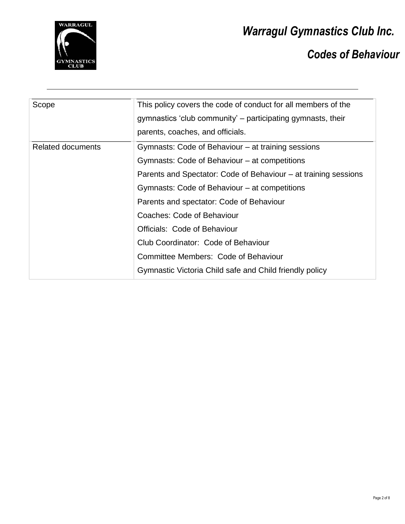

*Codes of Behaviour*

| Scope                    | This policy covers the code of conduct for all members of the   |
|--------------------------|-----------------------------------------------------------------|
|                          | gymnastics 'club community' - participating gymnasts, their     |
|                          | parents, coaches, and officials.                                |
| <b>Related documents</b> | Gymnasts: Code of Behaviour – at training sessions              |
|                          | Gymnasts: Code of Behaviour – at competitions                   |
|                          | Parents and Spectator: Code of Behaviour – at training sessions |
|                          | Gymnasts: Code of Behaviour – at competitions                   |
|                          | Parents and spectator: Code of Behaviour                        |
|                          | Coaches: Code of Behaviour                                      |
|                          | Officials: Code of Behaviour                                    |
|                          | Club Coordinator: Code of Behaviour                             |
|                          | Committee Members: Code of Behaviour                            |
|                          | Gymnastic Victoria Child safe and Child friendly policy         |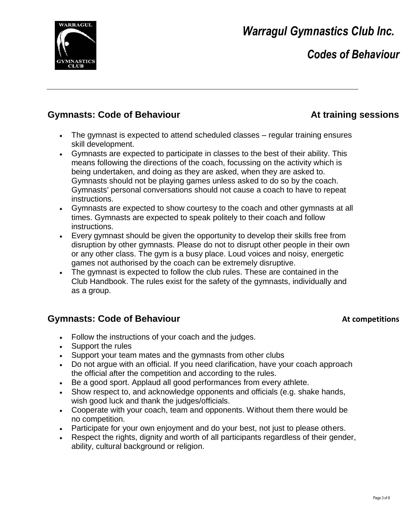

## *Codes of Behaviour*

#### **Gymnasts: Code of Behaviour At training sessions**

- The gymnast is expected to attend scheduled classes regular training ensures skill development.
- Gymnasts are expected to participate in classes to the best of their ability. This means following the directions of the coach, focussing on the activity which is being undertaken, and doing as they are asked, when they are asked to. Gymnasts should not be playing games unless asked to do so by the coach. Gymnasts' personal conversations should not cause a coach to have to repeat instructions.
- Gymnasts are expected to show courtesy to the coach and other gymnasts at all times. Gymnasts are expected to speak politely to their coach and follow instructions.
- Every gymnast should be given the opportunity to develop their skills free from disruption by other gymnasts. Please do not to disrupt other people in their own or any other class. The gym is a busy place. Loud voices and noisy, energetic games not authorised by the coach can be extremely disruptive.
- The gymnast is expected to follow the club rules. These are contained in the Club Handbook. The rules exist for the safety of the gymnasts, individually and as a group.

#### **Gymnasts: Code of Behaviour At competitions At competitions**

- Follow the instructions of your coach and the judges.
- Support the rules
- Support your team mates and the gymnasts from other clubs
- Do not argue with an official. If you need clarification, have your coach approach the official after the competition and according to the rules.
- Be a good sport. Applaud all good performances from every athlete.
- Show respect to, and acknowledge opponents and officials (e.g. shake hands, wish good luck and thank the judges/officials.
- Cooperate with your coach, team and opponents. Without them there would be no competition.
- Participate for your own enjoyment and do your best, not just to please others.
- Respect the rights, dignity and worth of all participants regardless of their gender, ability, cultural background or religion.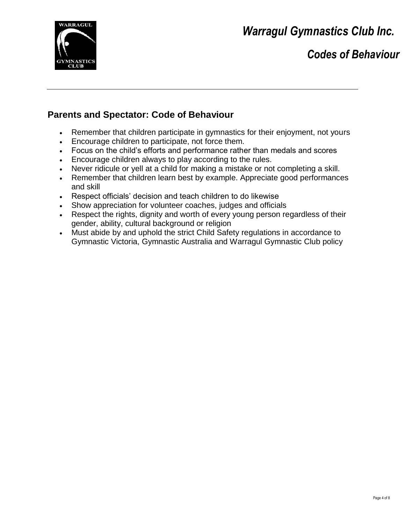

*Codes of Behaviour*

#### **Parents and Spectator: Code of Behaviour**

- Remember that children participate in gymnastics for their enjoyment, not yours
- Encourage children to participate, not force them.
- Focus on the child's efforts and performance rather than medals and scores
- Encourage children always to play according to the rules.
- Never ridicule or yell at a child for making a mistake or not completing a skill.
- Remember that children learn best by example. Appreciate good performances and skill
- Respect officials' decision and teach children to do likewise
- Show appreciation for volunteer coaches, judges and officials
- Respect the rights, dignity and worth of every young person regardless of their gender, ability, cultural background or religion
- Must abide by and uphold the strict Child Safety regulations in accordance to Gymnastic Victoria, Gymnastic Australia and Warragul Gymnastic Club policy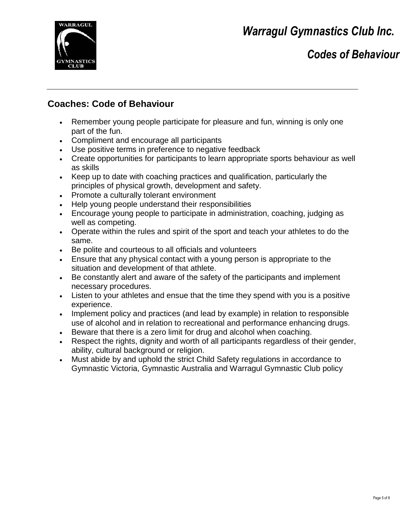

## *Codes of Behaviour*

#### **Coaches: Code of Behaviour**

- Remember young people participate for pleasure and fun, winning is only one part of the fun.
- Compliment and encourage all participants
- Use positive terms in preference to negative feedback
- Create opportunities for participants to learn appropriate sports behaviour as well as skills
- Keep up to date with coaching practices and qualification, particularly the principles of physical growth, development and safety.
- Promote a culturally tolerant environment
- Help young people understand their responsibilities
- Encourage young people to participate in administration, coaching, judging as well as competing.
- Operate within the rules and spirit of the sport and teach your athletes to do the same.
- Be polite and courteous to all officials and volunteers
- Ensure that any physical contact with a young person is appropriate to the situation and development of that athlete.
- Be constantly alert and aware of the safety of the participants and implement necessary procedures.
- Listen to your athletes and ensue that the time they spend with you is a positive experience.
- Implement policy and practices (and lead by example) in relation to responsible use of alcohol and in relation to recreational and performance enhancing drugs.
- Beware that there is a zero limit for drug and alcohol when coaching.
- Respect the rights, dignity and worth of all participants regardless of their gender, ability, cultural background or religion.
- Must abide by and uphold the strict Child Safety regulations in accordance to Gymnastic Victoria, Gymnastic Australia and Warragul Gymnastic Club policy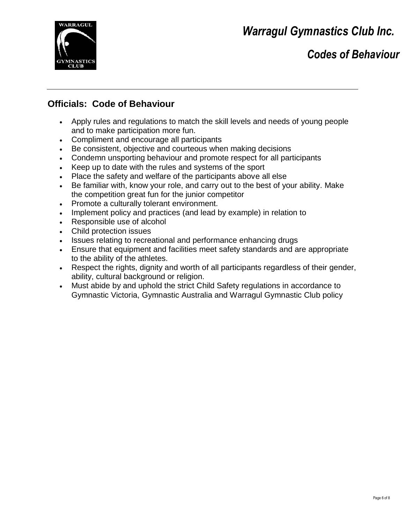

## *Codes of Behaviour*

#### **Officials: Code of Behaviour**

- Apply rules and regulations to match the skill levels and needs of young people and to make participation more fun.
- Compliment and encourage all participants
- Be consistent, objective and courteous when making decisions
- Condemn unsporting behaviour and promote respect for all participants
- Keep up to date with the rules and systems of the sport
- Place the safety and welfare of the participants above all else
- Be familiar with, know your role, and carry out to the best of your ability. Make the competition great fun for the junior competitor
- Promote a culturally tolerant environment.
- Implement policy and practices (and lead by example) in relation to
- Responsible use of alcohol
- Child protection issues
- Issues relating to recreational and performance enhancing drugs
- Ensure that equipment and facilities meet safety standards and are appropriate to the ability of the athletes.
- Respect the rights, dignity and worth of all participants regardless of their gender, ability, cultural background or religion.
- Must abide by and uphold the strict Child Safety regulations in accordance to Gymnastic Victoria, Gymnastic Australia and Warragul Gymnastic Club policy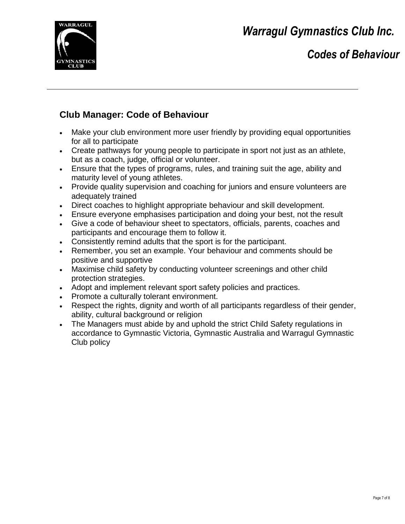

### *Codes of Behaviour*

### **Club Manager: Code of Behaviour**

- Make your club environment more user friendly by providing equal opportunities for all to participate
- Create pathways for young people to participate in sport not just as an athlete, but as a coach, judge, official or volunteer.
- Ensure that the types of programs, rules, and training suit the age, ability and maturity level of young athletes.
- Provide quality supervision and coaching for juniors and ensure volunteers are adequately trained
- Direct coaches to highlight appropriate behaviour and skill development.
- Ensure everyone emphasises participation and doing your best, not the result
- Give a code of behaviour sheet to spectators, officials, parents, coaches and participants and encourage them to follow it.
- Consistently remind adults that the sport is for the participant.
- Remember, you set an example. Your behaviour and comments should be positive and supportive
- Maximise child safety by conducting volunteer screenings and other child protection strategies.
- Adopt and implement relevant sport safety policies and practices.
- Promote a culturally tolerant environment.
- Respect the rights, dignity and worth of all participants regardless of their gender, ability, cultural background or religion
- The Managers must abide by and uphold the strict Child Safety regulations in accordance to Gymnastic Victoria, Gymnastic Australia and Warragul Gymnastic Club policy